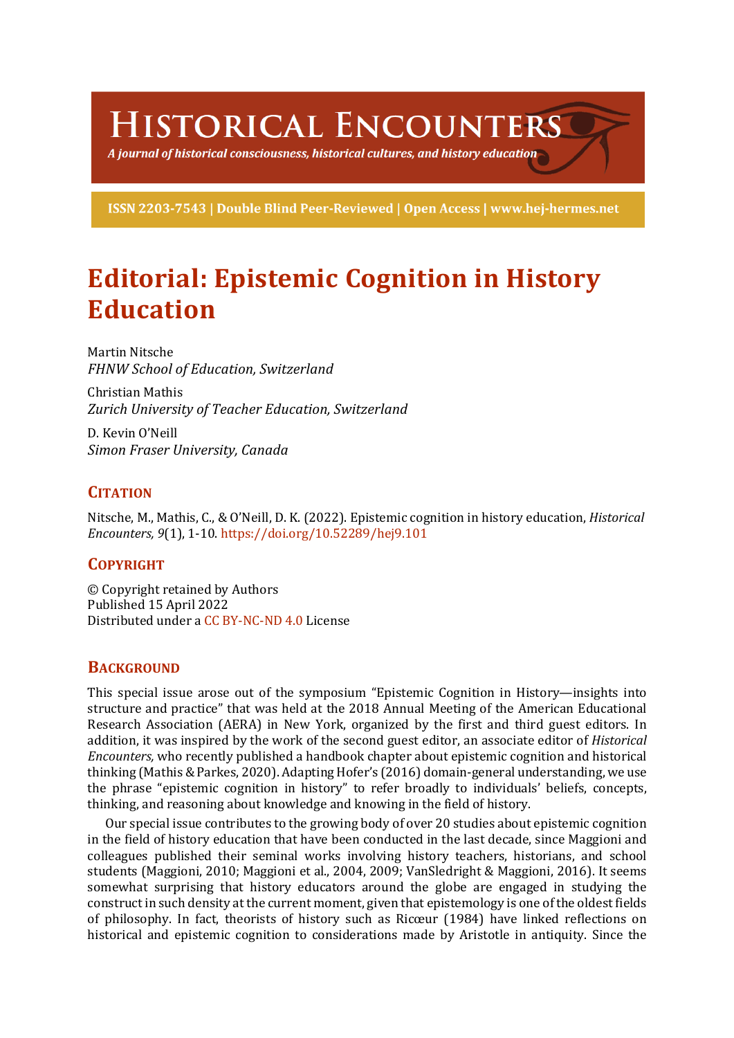# **HISTORICAL ENCOUNTERS**

A journal of historical consciousness, historical cultures, and history education  $\geq$ 

ISSN 2203-7543 | Double Blind Peer-Reviewed | Open Access | www.hej-hermes.net

# **Editorial: Epistemic Cognition in History Education**

Martin Nitsche *FHNW School of Education, Switzerland*

Christian Mathis *Zurich University of Teacher Education, Switzerland*

D. Kevin O'Neill *Simon Fraser University, Canada*

# **CITATION**

Nitsche, M., Mathis, C., & O'Neill, D. K. (2022). Epistemic cognition in history education, *Historical Encounters, 9*(1), 1-10. https://doi.org/10.52289/hej9.101

# **COPYRIGHT**

© Copyright retained by Authors Published 15 April 2022 Distributed under a CC BY-NC-ND 4.0 License

### **BACKGROUND**

This special issue arose out of the symposium "Epistemic Cognition in History—insights into structure and practice" that was held at the 2018 Annual Meeting of the American Educational Research Association (AERA) in New York, organized by the first and third guest editors. In addition, it was inspired by the work of the second guest editor, an associate editor of *Historical Encounters,* who recently published a handbook chapter about epistemic cognition and historical thinking (Mathis & Parkes, 2020). Adapting Hofer's (2016) domain-general understanding, we use the phrase "epistemic cognition in history" to refer broadly to individuals' beliefs, concepts, thinking, and reasoning about knowledge and knowing in the field of history.

Our special issue contributes to the growing body of over 20 studies about epistemic cognition in the field of history education that have been conducted in the last decade, since Maggioni and colleagues published their seminal works involving history teachers, historians, and school students (Maggioni, 2010; Maggioni et al., 2004, 2009; VanSledright & Maggioni, 2016). It seems somewhat surprising that history educators around the globe are engaged in studying the construct in such density at the current moment, given that epistemology is one of the oldest fields of philosophy. In fact, theorists of history such as Ricœur (1984) have linked reflections on historical and epistemic cognition to considerations made by Aristotle in antiquity. Since the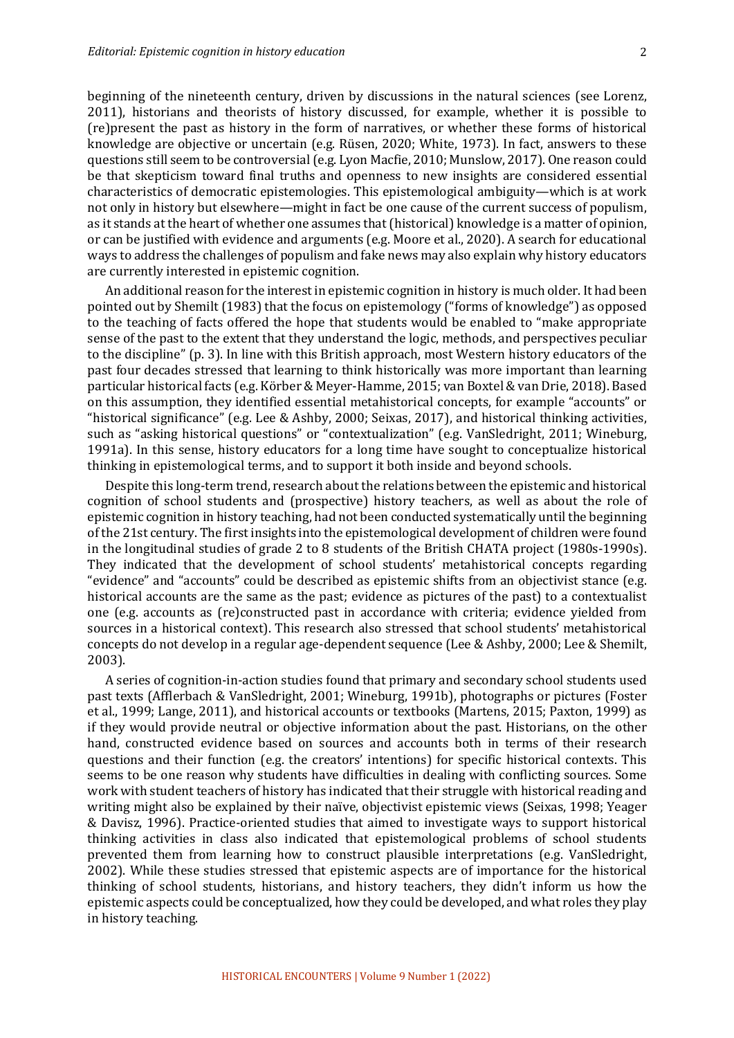beginning of the nineteenth century, driven by discussions in the natural sciences (see Lorenz, 2011), historians and theorists of history discussed, for example, whether it is possible to (re)present the past as history in the form of narratives, or whether these forms of historical knowledge are objective or uncertain  $(e.g.$  Rüsen, 2020; White, 1973). In fact, answers to these questions still seem to be controversial (e.g. Lyon Macfie, 2010; Munslow, 2017). One reason could be that skepticism toward final truths and openness to new insights are considered essential characteristics of democratic epistemologies. This epistemological ambiguity—which is at work not only in history but elsewhere—might in fact be one cause of the current success of populism, as it stands at the heart of whether one assumes that (historical) knowledge is a matter of opinion, or can be justified with evidence and arguments (e.g. Moore et al., 2020). A search for educational ways to address the challenges of populism and fake news may also explain why history educators are currently interested in epistemic cognition.

An additional reason for the interest in epistemic cognition in history is much older. It had been pointed out by Shemilt (1983) that the focus on epistemology ("forms of knowledge") as opposed to the teaching of facts offered the hope that students would be enabled to "make appropriate" sense of the past to the extent that they understand the logic, methods, and perspectives peculiar to the discipline" (p. 3). In line with this British approach, most Western history educators of the past four decades stressed that learning to think historically was more important than learning particular historical facts (e.g. Körber & Meyer-Hamme, 2015; van Boxtel & van Drie, 2018). Based on this assumption, they identified essential metahistorical concepts, for example "accounts" or "historical significance" (e.g. Lee & Ashby, 2000; Seixas, 2017), and historical thinking activities, such as "asking historical questions" or "contextualization" (e.g. VanSledright, 2011; Wineburg, 1991a). In this sense, history educators for a long time have sought to conceptualize historical thinking in epistemological terms, and to support it both inside and beyond schools.

Despite this long-term trend, research about the relations between the epistemic and historical cognition of school students and (prospective) history teachers, as well as about the role of epistemic cognition in history teaching, had not been conducted systematically until the beginning of the 21st century. The first insights into the epistemological development of children were found in the longitudinal studies of grade 2 to 8 students of the British CHATA project (1980s-1990s). They indicated that the development of school students' metahistorical concepts regarding "evidence" and "accounts" could be described as epistemic shifts from an objectivist stance (e.g. historical accounts are the same as the past; evidence as pictures of the past) to a contextualist one (e.g. accounts as (re)constructed past in accordance with criteria; evidence yielded from sources in a historical context). This research also stressed that school students' metahistorical concepts do not develop in a regular age-dependent sequence (Lee & Ashby, 2000; Lee & Shemilt, 2003). 

A series of cognition-in-action studies found that primary and secondary school students used past texts (Afflerbach & VanSledright, 2001; Wineburg, 1991b), photographs or pictures (Foster et al., 1999; Lange, 2011), and historical accounts or textbooks (Martens, 2015; Paxton, 1999) as if they would provide neutral or objective information about the past. Historians, on the other hand, constructed evidence based on sources and accounts both in terms of their research questions and their function (e.g. the creators' intentions) for specific historical contexts. This seems to be one reason why students have difficulties in dealing with conflicting sources. Some work with student teachers of history has indicated that their struggle with historical reading and writing might also be explained by their naïve, objectivist epistemic views (Seixas, 1998; Yeager & Davisz, 1996). Practice-oriented studies that aimed to investigate ways to support historical thinking activities in class also indicated that epistemological problems of school students prevented them from learning how to construct plausible interpretations (e.g. VanSledright, 2002). While these studies stressed that epistemic aspects are of importance for the historical thinking of school students, historians, and history teachers, they didn't inform us how the epistemic aspects could be conceptualized, how they could be developed, and what roles they play in history teaching.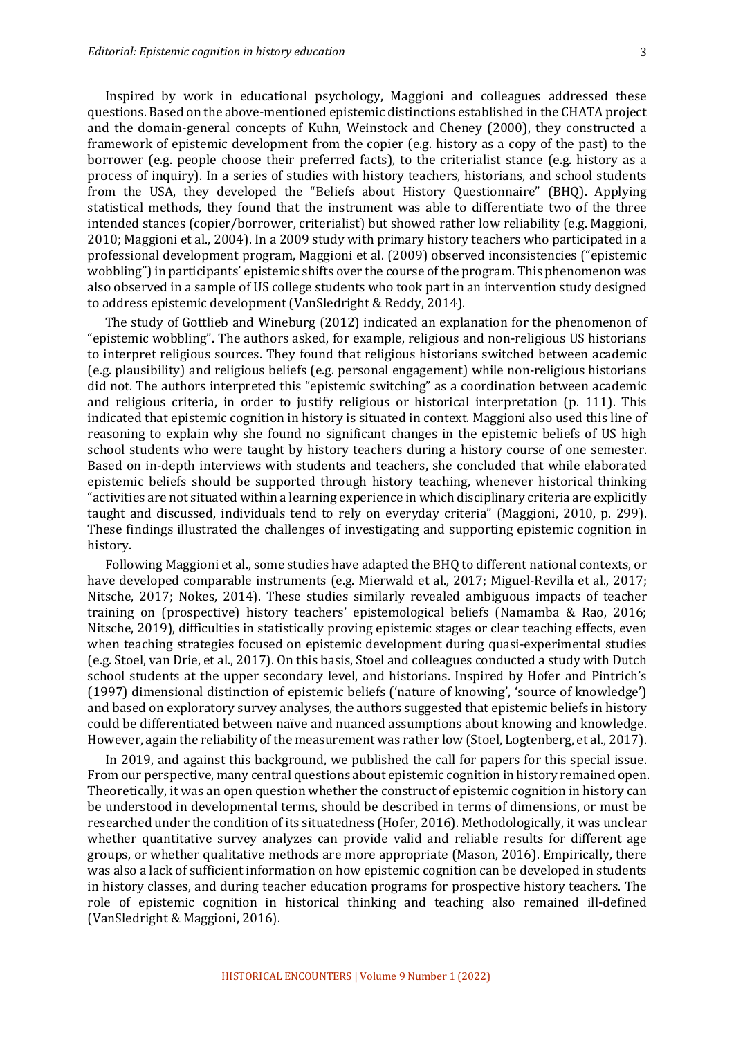Inspired by work in educational psychology, Maggioni and colleagues addressed these questions. Based on the above-mentioned epistemic distinctions established in the CHATA project and the domain-general concepts of Kuhn, Weinstock and Cheney (2000), they constructed a framework of epistemic development from the copier (e.g. history as a copy of the past) to the borrower (e.g. people choose their preferred facts), to the criterialist stance (e.g. history as a process of inquiry). In a series of studies with history teachers, historians, and school students from the USA, they developed the "Beliefs about History Questionnaire" (BHQ). Applying statistical methods, they found that the instrument was able to differentiate two of the three intended stances (copier/borrower, criterialist) but showed rather low reliability (e.g. Maggioni, 2010; Maggioni et al., 2004). In a 2009 study with primary history teachers who participated in a professional development program, Maggioni et al. (2009) observed inconsistencies ("epistemic wobbling") in participants' epistemic shifts over the course of the program. This phenomenon was also observed in a sample of US college students who took part in an intervention study designed to address epistemic development (VanSledright & Reddy, 2014).

The study of Gottlieb and Wineburg  $(2012)$  indicated an explanation for the phenomenon of "epistemic wobbling". The authors asked, for example, religious and non-religious US historians to interpret religious sources. They found that religious historians switched between academic (e.g. plausibility) and religious beliefs (e.g. personal engagement) while non-religious historians did not. The authors interpreted this "epistemic switching" as a coordination between academic and religious criteria, in order to justify religious or historical interpretation (p. 111). This indicated that epistemic cognition in history is situated in context. Maggioni also used this line of reasoning to explain why she found no significant changes in the epistemic beliefs of US high school students who were taught by history teachers during a history course of one semester. Based on in-depth interviews with students and teachers, she concluded that while elaborated epistemic beliefs should be supported through history teaching, whenever historical thinking "activities are not situated within a learning experience in which disciplinary criteria are explicitly taught and discussed, individuals tend to rely on everyday criteria" (Maggioni, 2010, p. 299). These findings illustrated the challenges of investigating and supporting epistemic cognition in history.

Following Maggioni et al., some studies have adapted the BHQ to different national contexts, or have developed comparable instruments (e.g. Mierwald et al., 2017; Miguel-Revilla et al., 2017; Nitsche, 2017; Nokes, 2014). These studies similarly revealed ambiguous impacts of teacher training on (prospective) history teachers' epistemological beliefs (Namamba & Rao, 2016; Nitsche, 2019), difficulties in statistically proving epistemic stages or clear teaching effects, even when teaching strategies focused on epistemic development during quasi-experimental studies (e.g. Stoel, van Drie, et al., 2017). On this basis, Stoel and colleagues conducted a study with Dutch school students at the upper secondary level, and historians. Inspired by Hofer and Pintrich's (1997) dimensional distinction of epistemic beliefs ('nature of knowing', 'source of knowledge') and based on exploratory survey analyses, the authors suggested that epistemic beliefs in history could be differentiated between naïve and nuanced assumptions about knowing and knowledge. However, again the reliability of the measurement was rather low (Stoel, Logtenberg, et al., 2017).

In 2019, and against this background, we published the call for papers for this special issue. From our perspective, many central questions about epistemic cognition in history remained open. Theoretically, it was an open question whether the construct of epistemic cognition in history can be understood in developmental terms, should be described in terms of dimensions, or must be researched under the condition of its situatedness (Hofer, 2016). Methodologically, it was unclear whether quantitative survey analyzes can provide valid and reliable results for different age groups, or whether qualitative methods are more appropriate (Mason, 2016). Empirically, there was also a lack of sufficient information on how epistemic cognition can be developed in students in history classes, and during teacher education programs for prospective history teachers. The role of epistemic cognition in historical thinking and teaching also remained ill-defined (VanSledright & Maggioni, 2016).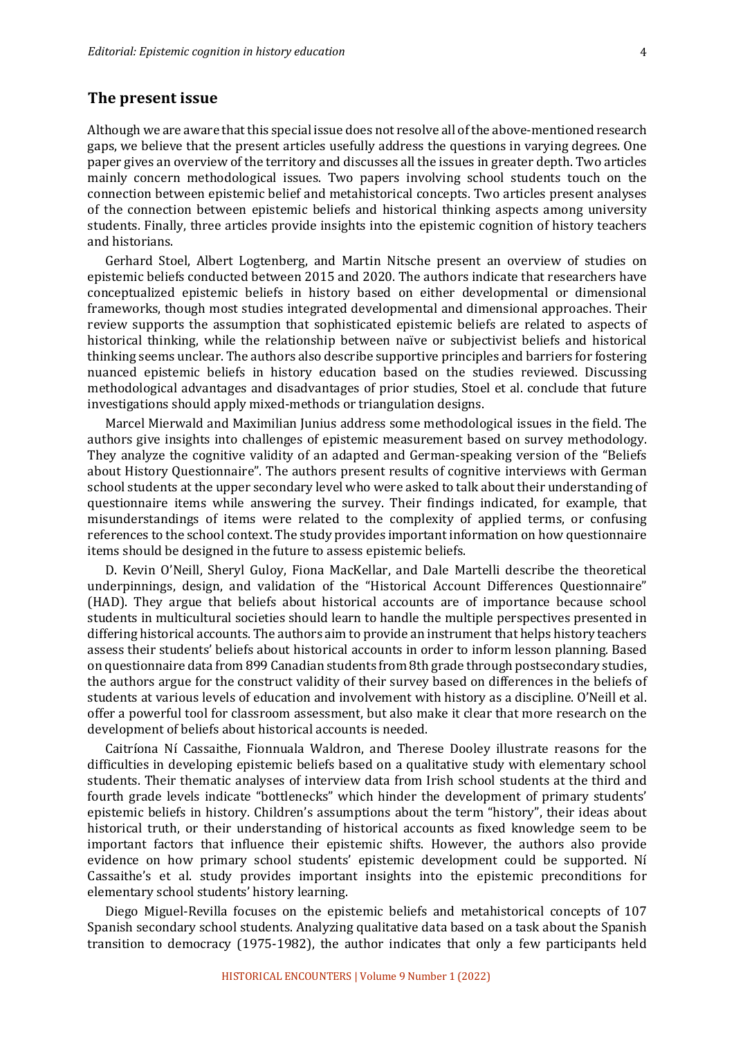#### **The present issue**

Although we are aware that this special issue does not resolve all of the above-mentioned research gaps, we believe that the present articles usefully address the questions in varying degrees. One paper gives an overview of the territory and discusses all the issues in greater depth. Two articles mainly concern methodological issues. Two papers involving school students touch on the connection between epistemic belief and metahistorical concepts. Two articles present analyses of the connection between epistemic beliefs and historical thinking aspects among university students. Finally, three articles provide insights into the epistemic cognition of history teachers and historians.

Gerhard Stoel, Albert Logtenberg, and Martin Nitsche present an overview of studies on epistemic beliefs conducted between 2015 and 2020. The authors indicate that researchers have conceptualized epistemic beliefs in history based on either developmental or dimensional frameworks, though most studies integrated developmental and dimensional approaches. Their review supports the assumption that sophisticated epistemic beliefs are related to aspects of historical thinking, while the relationship between naïve or subjectivist beliefs and historical thinking seems unclear. The authors also describe supportive principles and barriers for fostering nuanced epistemic beliefs in history education based on the studies reviewed. Discussing methodological advantages and disadvantages of prior studies, Stoel et al. conclude that future investigations should apply mixed-methods or triangulation designs.

Marcel Mierwald and Maximilian Junius address some methodological issues in the field. The authors give insights into challenges of epistemic measurement based on survey methodology. They analyze the cognitive validity of an adapted and German-speaking version of the "Beliefs" about History Questionnaire". The authors present results of cognitive interviews with German school students at the upper secondary level who were asked to talk about their understanding of questionnaire items while answering the survey. Their findings indicated, for example, that misunderstandings of items were related to the complexity of applied terms, or confusing references to the school context. The study provides important information on how questionnaire items should be designed in the future to assess epistemic beliefs.

D. Kevin O'Neill, Sheryl Guloy, Fiona MacKellar, and Dale Martelli describe the theoretical underpinnings, design, and validation of the "Historical Account Differences Questionnaire" (HAD). They argue that beliefs about historical accounts are of importance because school students in multicultural societies should learn to handle the multiple perspectives presented in differing historical accounts. The authors aim to provide an instrument that helps history teachers assess their students' beliefs about historical accounts in order to inform lesson planning. Based on questionnaire data from 899 Canadian students from 8th grade through postsecondary studies, the authors argue for the construct validity of their survey based on differences in the beliefs of students at various levels of education and involvement with history as a discipline. O'Neill et al. offer a powerful tool for classroom assessment, but also make it clear that more research on the development of beliefs about historical accounts is needed.

Caitríona Ní Cassaithe, Fionnuala Waldron, and Therese Dooley illustrate reasons for the difficulties in developing epistemic beliefs based on a qualitative study with elementary school students. Their thematic analyses of interview data from Irish school students at the third and fourth grade levels indicate "bottlenecks" which hinder the development of primary students' epistemic beliefs in history. Children's assumptions about the term "history", their ideas about historical truth, or their understanding of historical accounts as fixed knowledge seem to be important factors that influence their epistemic shifts. However, the authors also provide evidence on how primary school students' epistemic development could be supported. Ní Cassaithe's et al. study provides important insights into the epistemic preconditions for elementary school students' history learning.

Diego Miguel-Revilla focuses on the epistemic beliefs and metahistorical concepts of 107 Spanish secondary school students. Analyzing qualitative data based on a task about the Spanish transition to democracy (1975-1982), the author indicates that only a few participants held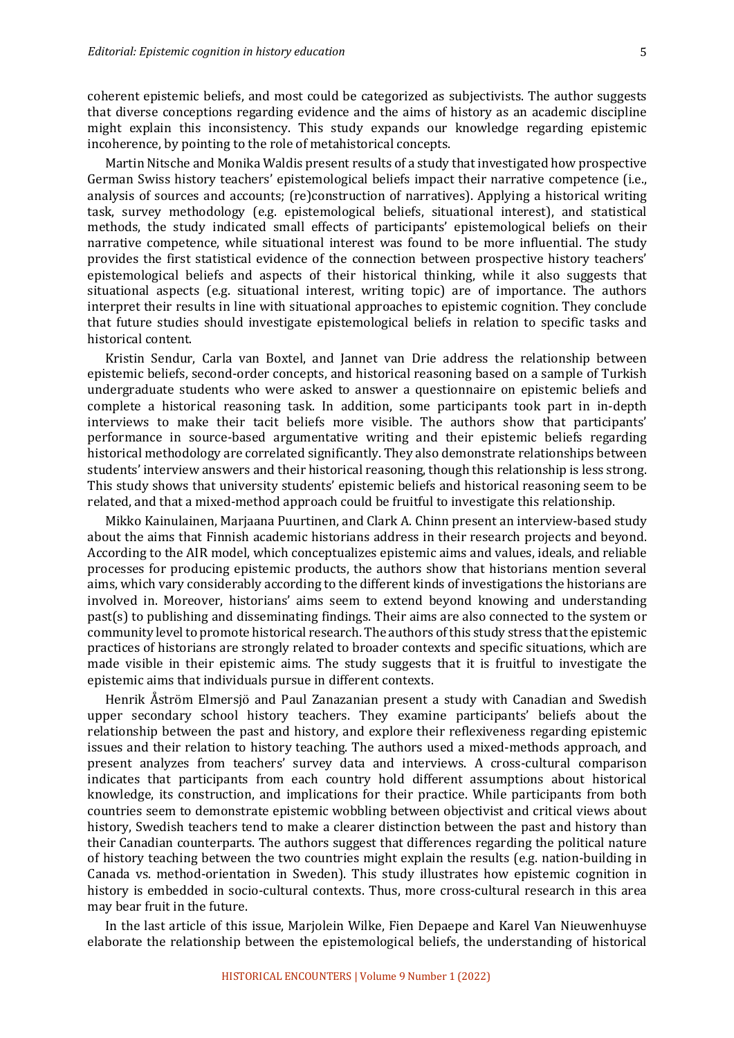coherent epistemic beliefs, and most could be categorized as subjectivists. The author suggests that diverse conceptions regarding evidence and the aims of history as an academic discipline might explain this inconsistency. This study expands our knowledge regarding epistemic incoherence, by pointing to the role of metahistorical concepts.

Martin Nitsche and Monika Waldis present results of a study that investigated how prospective German Swiss history teachers' epistemological beliefs impact their narrative competence (i.e., analysis of sources and accounts; (re)construction of narratives). Applying a historical writing task, survey methodology (e.g. epistemological beliefs, situational interest), and statistical methods, the study indicated small effects of participants' epistemological beliefs on their narrative competence, while situational interest was found to be more influential. The study provides the first statistical evidence of the connection between prospective history teachers' epistemological beliefs and aspects of their historical thinking, while it also suggests that situational aspects  $(e.g.$  situational interest, writing topic) are of importance. The authors interpret their results in line with situational approaches to epistemic cognition. They conclude that future studies should investigate epistemological beliefs in relation to specific tasks and historical content.

Kristin Sendur, Carla van Boxtel, and Jannet van Drie address the relationship between epistemic beliefs, second-order concepts, and historical reasoning based on a sample of Turkish undergraduate students who were asked to answer a questionnaire on epistemic beliefs and complete a historical reasoning task. In addition, some participants took part in in-depth interviews to make their tacit beliefs more visible. The authors show that participants' performance in source-based argumentative writing and their epistemic beliefs regarding historical methodology are correlated significantly. They also demonstrate relationships between students' interview answers and their historical reasoning, though this relationship is less strong. This study shows that university students' epistemic beliefs and historical reasoning seem to be related, and that a mixed-method approach could be fruitful to investigate this relationship.

Mikko Kainulainen, Marjaana Puurtinen, and Clark A. Chinn present an interview-based study about the aims that Finnish academic historians address in their research projects and beyond. According to the AIR model, which conceptualizes epistemic aims and values, ideals, and reliable processes for producing epistemic products, the authors show that historians mention several aims, which vary considerably according to the different kinds of investigations the historians are involved in. Moreover, historians' aims seem to extend beyond knowing and understanding  $past(s)$  to publishing and disseminating findings. Their aims are also connected to the system or community level to promote historical research. The authors of this study stress that the epistemic practices of historians are strongly related to broader contexts and specific situations, which are made visible in their epistemic aims. The study suggests that it is fruitful to investigate the epistemic aims that individuals pursue in different contexts.

Henrik Åström Elmersjö and Paul Zanazanian present a study with Canadian and Swedish upper secondary school history teachers. They examine participants' beliefs about the relationship between the past and history, and explore their reflexiveness regarding epistemic issues and their relation to history teaching. The authors used a mixed-methods approach, and present analyzes from teachers' survey data and interviews. A cross-cultural comparison indicates that participants from each country hold different assumptions about historical knowledge, its construction, and implications for their practice. While participants from both countries seem to demonstrate epistemic wobbling between objectivist and critical views about history, Swedish teachers tend to make a clearer distinction between the past and history than their Canadian counterparts. The authors suggest that differences regarding the political nature of history teaching between the two countries might explain the results (e.g. nation-building in Canada vs. method-orientation in Sweden). This study illustrates how epistemic cognition in history is embedded in socio-cultural contexts. Thus, more cross-cultural research in this area may bear fruit in the future.

In the last article of this issue, Mariolein Wilke, Fien Depaepe and Karel Van Nieuwenhuyse elaborate the relationship between the epistemological beliefs, the understanding of historical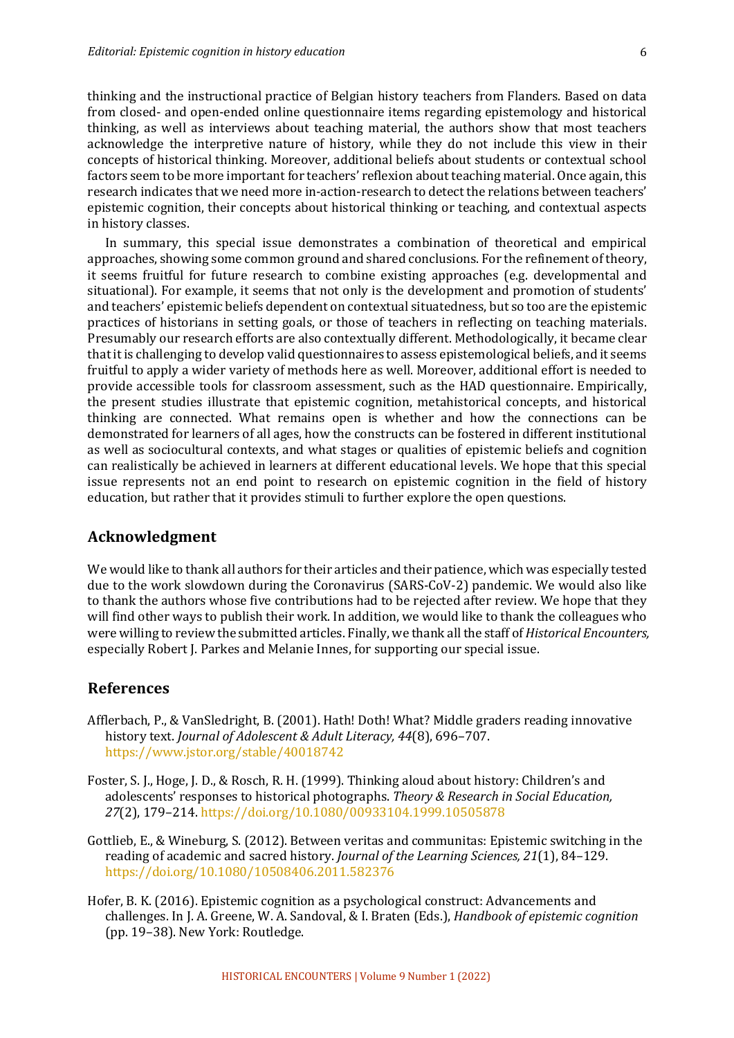thinking and the instructional practice of Belgian history teachers from Flanders. Based on data from closed- and open-ended online questionnaire items regarding epistemology and historical thinking, as well as interviews about teaching material, the authors show that most teachers acknowledge the interpretive nature of history, while they do not include this view in their concepts of historical thinking. Moreover, additional beliefs about students or contextual school factors seem to be more important for teachers' reflexion about teaching material. Once again, this research indicates that we need more in-action-research to detect the relations between teachers' epistemic cognition, their concepts about historical thinking or teaching, and contextual aspects in history classes.

In summary, this special issue demonstrates a combination of theoretical and empirical approaches, showing some common ground and shared conclusions. For the refinement of theory, it seems fruitful for future research to combine existing approaches (e.g. developmental and situational). For example, it seems that not only is the development and promotion of students' and teachers' epistemic beliefs dependent on contextual situatedness, but so too are the epistemic practices of historians in setting goals, or those of teachers in reflecting on teaching materials. Presumably our research efforts are also contextually different. Methodologically, it became clear that it is challenging to develop valid questionnaires to assess epistemological beliefs, and it seems fruitful to apply a wider variety of methods here as well. Moreover, additional effort is needed to provide accessible tools for classroom assessment, such as the HAD questionnaire. Empirically, the present studies illustrate that epistemic cognition, metahistorical concepts, and historical thinking are connected. What remains open is whether and how the connections can be demonstrated for learners of all ages, how the constructs can be fostered in different institutional as well as sociocultural contexts, and what stages or qualities of epistemic beliefs and cognition can realistically be achieved in learners at different educational levels. We hope that this special issue represents not an end point to research on epistemic cognition in the field of history education, but rather that it provides stimuli to further explore the open questions.

### **Acknowledgment**

We would like to thank all authors for their articles and their patience, which was especially tested due to the work slowdown during the Coronavirus (SARS-CoV-2) pandemic. We would also like to thank the authors whose five contributions had to be rejected after review. We hope that they will find other ways to publish their work. In addition, we would like to thank the colleagues who were willing to review the submitted articles. Finally, we thank all the staff of *Historical Encounters*, especially Robert J. Parkes and Melanie Innes, for supporting our special issue.

#### **References**

- Afflerbach, P., & VanSledright, B. (2001). Hath! Doth! What? Middle graders reading innovative history text. *Journal of Adolescent & Adult Literacy, 44*(8), 696-707. https://www.jstor.org/stable/40018742
- Foster, S. J., Hoge, J. D., & Rosch, R. H. (1999). Thinking aloud about history: Children's and adolescents' responses to historical photographs. Theory & Research in Social Education, 27(2), 179–214. https://doi.org/10.1080/00933104.1999.10505878
- Gottlieb, E., & Wineburg, S. (2012). Between veritas and communitas: Epistemic switching in the reading of academic and sacred history. *Journal of the Learning Sciences, 21*(1), 84-129. https://doi.org/10.1080/10508406.2011.582376
- Hofer, B. K. (2016). Epistemic cognition as a psychological construct: Advancements and challenges. In J. A. Greene, W. A. Sandoval, & I. Braten (Eds.), *Handbook of epistemic cognition* (pp. 19-38). New York: Routledge.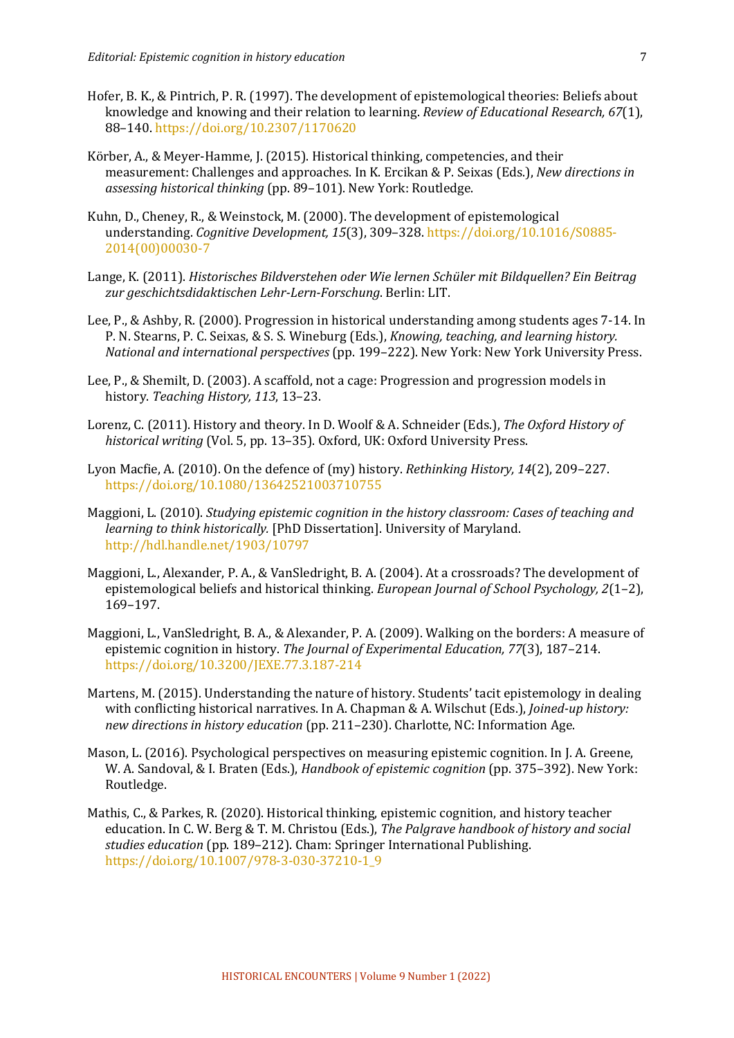- Hofer, B. K., & Pintrich, P. R. (1997). The development of epistemological theories: Beliefs about knowledge and knowing and their relation to learning. *Review of Educational Research, 67*(1), 88–140. https://doi.org/10.2307/1170620
- Körber, A., & Meyer-Hamme, J. (2015). Historical thinking, competencies, and their measurement: Challenges and approaches. In K. Ercikan & P. Seixas (Eds.), *New directions in* assessing historical thinking (pp. 89-101). New York: Routledge.
- Kuhn, D., Cheney, R., & Weinstock, M. (2000). The development of epistemological understanding. *Cognitive Development,* 15(3), 309-328. https://doi.org/10.1016/S0885-2014(00)00030-7
- Lange, K. (2011). *Historisches Bildverstehen oder Wie lernen Schüler mit Bildquellen? Ein Beitrag* zur geschichtsdidaktischen Lehr-Lern-Forschung, Berlin: LIT.
- Lee, P., & Ashby, R. (2000). Progression in historical understanding among students ages 7-14. In P. N. Stearns, P. C. Seixas, & S. S. Wineburg (Eds.), *Knowing, teaching, and learning history. National and international perspectives* (pp. 199–222). New York: New York University Press.
- Lee, P., & Shemilt, D. (2003). A scaffold, not a cage: Progression and progression models in history. Teaching History, 113, 13-23.
- Lorenz, C. (2011). History and theory. In D. Woolf & A. Schneider (Eds.), *The Oxford History of* historical writing (Vol. 5, pp. 13-35). Oxford, UK: Oxford University Press.
- Lyon Macfie, A. (2010). On the defence of (my) history. *Rethinking History, 14*(2), 209–227. https://doi.org/10.1080/13642521003710755
- Maggioni, L. (2010). *Studying epistemic cognition in the history classroom: Cases of teaching and learning to think historically.* [PhD Dissertation]. University of Maryland. http://hdl.handle.net/1903/10797
- Maggioni, L., Alexander, P. A., & VanSledright, B. A. (2004). At a crossroads? The development of epistemological beliefs and historical thinking. *European Journal of School Psychology*, 2(1–2), 169–197.
- Maggioni, L., VanSledright, B. A., & Alexander, P. A. (2009). Walking on the borders: A measure of epistemic cognition in history. The Journal of Experimental Education, 77(3), 187-214. https://doi.org/10.3200/JEXE.77.3.187-214
- Martens, M. (2015). Understanding the nature of history. Students' tacit epistemology in dealing with conflicting historical narratives. In A. Chapman & A. Wilschut (Eds.), *Joined-up history: new directions in history education* (pp. 211–230). Charlotte, NC: Information Age.
- Mason, L. (2016). Psychological perspectives on measuring epistemic cognition. In J. A. Greene, W. A. Sandoval, & I. Braten (Eds.), *Handbook of epistemic cognition* (pp. 375–392). New York: Routledge.
- Mathis, C., & Parkes, R. (2020). Historical thinking, epistemic cognition, and history teacher education. In C. W. Berg & T. M. Christou (Eds.), *The Palgrave handbook of history and social* studies education (pp. 189-212). Cham: Springer International Publishing. https://doi.org/10.1007/978-3-030-37210-1\_9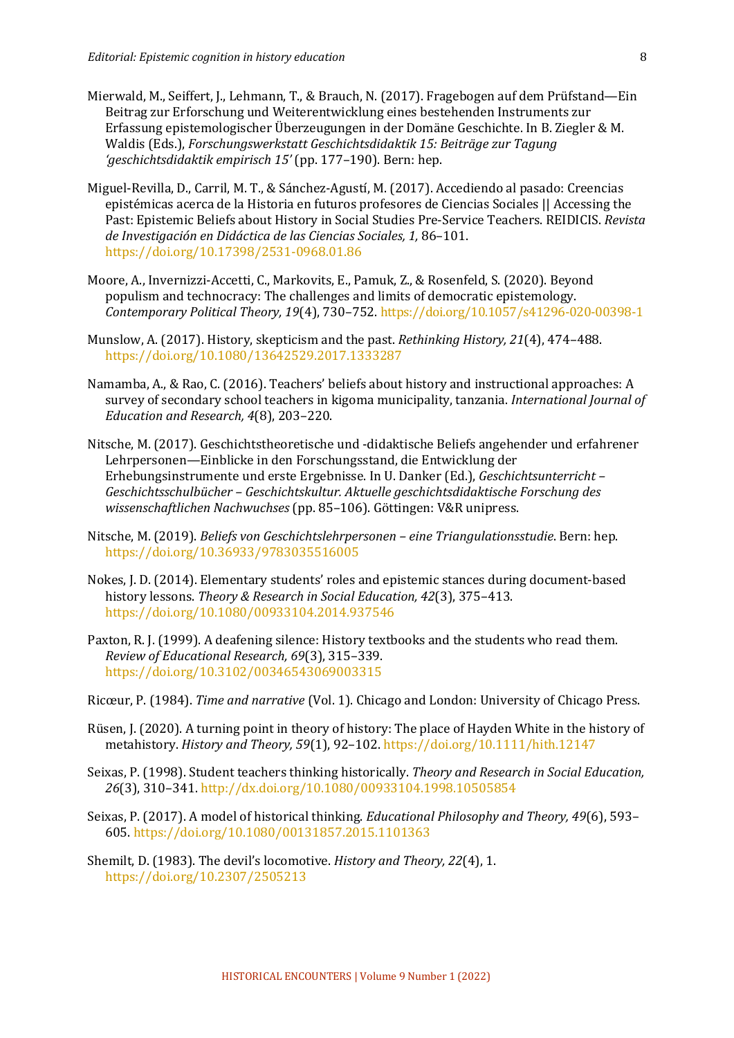- Mierwald, M., Seiffert, J., Lehmann, T., & Brauch, N. (2017). Fragebogen auf dem Prüfstand—Ein Beitrag zur Erforschung und Weiterentwicklung eines bestehenden Instruments zur Erfassung epistemologischer Überzeugungen in der Domäne Geschichte. In B. Ziegler & M. Waldis (Eds.), *Forschungswerkstatt Geschichtsdidaktik 15: Beiträge zur Tagung 'geschichtsdidaktik empirisch 15'* (pp. 177–190). Bern: hep.
- Miguel-Revilla, D., Carril, M. T., & Sánchez-Agustí, M. (2017). Accediendo al pasado: Creencias epistémicas acerca de la Historia en futuros profesores de Ciencias Sociales || Accessing the Past: Epistemic Beliefs about History in Social Studies Pre-Service Teachers. REIDICIS. Revista *de Investigación en Didáctica de las Ciencias Sociales, 1,* 86–101. https://doi.org/10.17398/2531-0968.01.86
- Moore, A., Invernizzi-Accetti, C., Markovits, E., Pamuk, Z., & Rosenfeld, S. (2020). Beyond populism and technocracy: The challenges and limits of democratic epistemology. *Contemporary Political Theory, 19*(4), 730–752. https://doi.org/10.1057/s41296-020-00398-1
- Munslow, A. (2017). History, skepticism and the past. *Rethinking History, 21*(4), 474–488. https://doi.org/10.1080/13642529.2017.1333287
- Namamba, A., & Rao, C. (2016). Teachers' beliefs about history and instructional approaches: A survey of secondary school teachers in kigoma municipality, tanzania. *International Journal of Education and Research, 4*(8), 203-220.
- Nitsche, M. (2017). Geschichtstheoretische und -didaktische Beliefs angehender und erfahrener Lehrpersonen—Einblicke in den Forschungsstand, die Entwicklung der Erhebungsinstrumente und erste Ergebnisse. In U. Danker (Ed.), *Geschichtsunterricht* -Geschichtsschulbücher - Geschichtskultur. Aktuelle geschichtsdidaktische Forschung des *wissenschaftlichen Nachwuchses* (pp. 85–106). Göttingen: V&R unipress.
- Nitsche, M. (2019). *Beliefs von Geschichtslehrpersonen eine Triangulationsstudie*. Bern: hep. https://doi.org/10.36933/9783035516005
- Nokes, J. D. (2014). Elementary students' roles and epistemic stances during document-based history lessons. *Theory & Research in Social Education, 42*(3), 375-413. https://doi.org/10.1080/00933104.2014.937546
- Paxton, R. J. (1999). A deafening silence: History textbooks and the students who read them. *Review of Educational Research, 69*(3), 315–339. https://doi.org/10.3102/00346543069003315
- Ricœur, P. (1984). *Time and narrative* (Vol. 1). Chicago and London: University of Chicago Press.
- Rüsen, J. (2020). A turning point in theory of history: The place of Hayden White in the history of metahistory. *History and Theory, 59*(1), 92-102. https://doi.org/10.1111/hith.12147
- Seixas, P. (1998). Student teachers thinking historically. *Theory and Research in Social Education*, 26(3), 310-341. http://dx.doi.org/10.1080/00933104.1998.10505854
- Seixas, P. (2017). A model of historical thinking. *Educational Philosophy and Theory, 49*(6), 593– 605. https://doi.org/10.1080/00131857.2015.1101363
- Shemilt, D. (1983). The devil's locomotive. *History and Theory, 22*(4), 1. https://doi.org/10.2307/2505213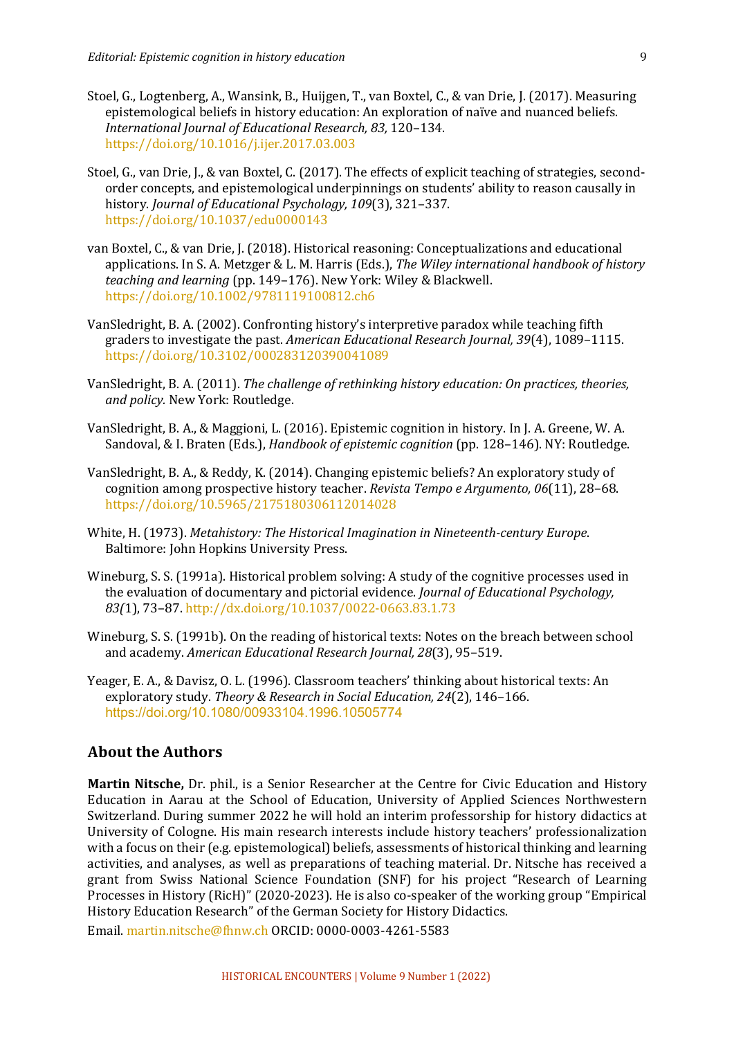- Stoel, G., Logtenberg, A., Wansink, B., Huijgen, T., van Boxtel, C., & van Drie, J. (2017). Measuring epistemological beliefs in history education: An exploration of naïve and nuanced beliefs. *International Journal of Educational Research, 83,* 120–134. https://doi.org/10.1016/j.ijer.2017.03.003
- Stoel, G., van Drie, I., & van Boxtel, C. (2017). The effects of explicit teaching of strategies, secondorder concepts, and epistemological underpinnings on students' ability to reason causally in history. *Journal of Educational Psychology, 109*(3), 321-337. https://doi.org/10.1037/edu0000143
- van Boxtel, C., & van Drie, J. (2018). Historical reasoning: Conceptualizations and educational applications. In S. A. Metzger & L. M. Harris (Eds.), *The Wiley international handbook of history teaching and learning* (pp. 149–176). New York: Wiley & Blackwell. https://doi.org/10.1002/9781119100812.ch6
- VanSledright, B. A. (2002). Confronting history's interpretive paradox while teaching fifth graders to investigate the past. American Educational Research Journal, 39(4), 1089-1115. https://doi.org/10.3102/000283120390041089
- VanSledright, B. A. (2011). *The challenge of rethinking history education:* On practices, theories, and *policy*. New York: Routledge.
- VanSledright, B. A., & Maggioni, L. (2016). Epistemic cognition in history. In J. A. Greene, W. A. Sandoval, & I. Braten (Eds.), *Handbook of epistemic cognition* (pp. 128–146). NY: Routledge.
- VanSledright, B. A., & Reddy, K. (2014). Changing epistemic beliefs? An exploratory study of cognition among prospective history teacher. *Revista Tempo e Argumento, 06*(11), 28–68. https://doi.org/10.5965/2175180306112014028
- White, H. (1973). *Metahistory: The Historical Imagination in Nineteenth-century Europe.* Baltimore: John Hopkins University Press.
- Wineburg, S. S. (1991a). Historical problem solving: A study of the cognitive processes used in the evaluation of documentary and pictorial evidence. *Journal of Educational Psychology*, *83(*1), 73–87. http://dx.doi.org/10.1037/0022-0663.83.1.73
- Wineburg, S. S. (1991b). On the reading of historical texts: Notes on the breach between school and academy. American Educational Research Journal, 28(3), 95-519.
- Yeager, E. A., & Davisz, O. L. (1996). Classroom teachers' thinking about historical texts: An exploratory study. Theory & Research in Social Education, 24(2), 146-166. https://doi.org/10.1080/00933104.1996.10505774

#### **About the Authors**

Martin Nitsche, Dr. phil., is a Senior Researcher at the Centre for Civic Education and History Education in Aarau at the School of Education, University of Applied Sciences Northwestern Switzerland. During summer 2022 he will hold an interim professorship for history didactics at University of Cologne. His main research interests include history teachers' professionalization with a focus on their (e.g. epistemological) beliefs, assessments of historical thinking and learning activities, and analyses, as well as preparations of teaching material. Dr. Nitsche has received a grant from Swiss National Science Foundation (SNF) for his project "Research of Learning Processes in History (RicH)"  $(2020-2023)$ . He is also co-speaker of the working group "Empirical History Education Research" of the German Society for History Didactics.

Email. martin.nitsche@fhnw.ch ORCID: 0000-0003-4261-5583